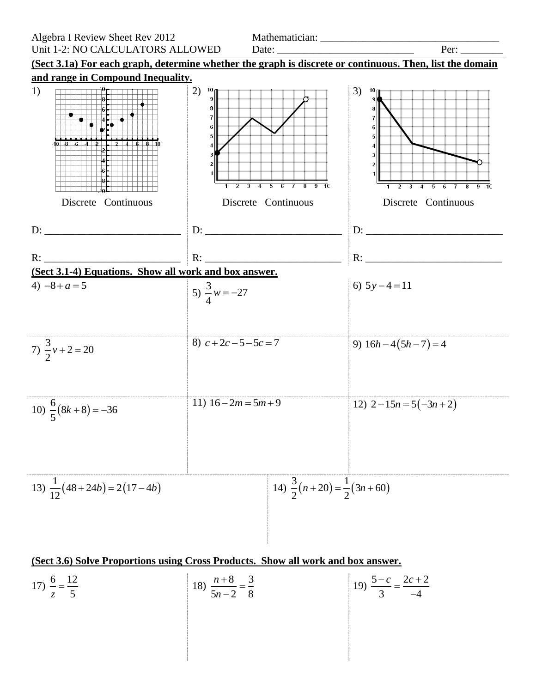

## **(Sect 3.6) Solve Proportions using Cross Products. Show all work and box answer.**

17) 
$$
\frac{6}{z} = \frac{12}{5}
$$
  
18)  $\frac{n+8}{5n-2} = \frac{3}{8}$   
19)  $\frac{5-c}{3} = \frac{2c+2}{-4}$